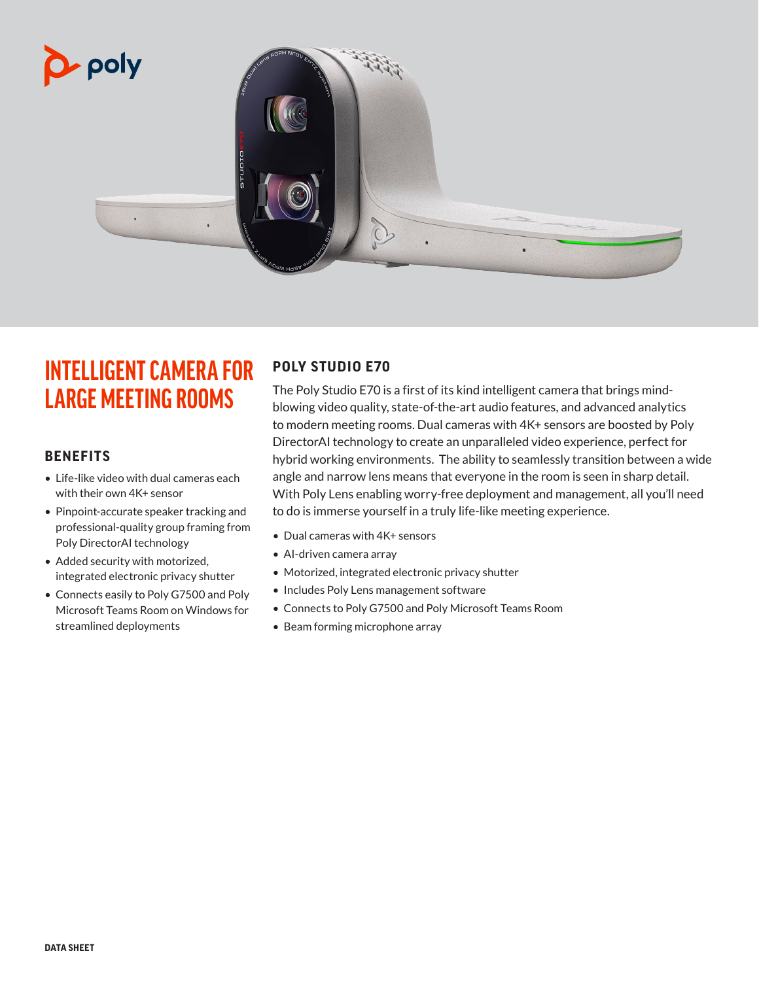

## **INTELLIGENT CAMERA FOR LARGE MEETING ROOMS**

### **BENEFITS**

- Life-like video with dual cameras each with their own 4K+ sensor
- Pinpoint-accurate speaker tracking and professional-quality group framing from Poly DirectorAI technology
- Added security with motorized, integrated electronic privacy shutter
- Connects easily to Poly G7500 and Poly Microsoft Teams Room on Windows for streamlined deployments

### **POLY STUDIO E70**

The Poly Studio E70 is a first of its kind intelligent camera that brings mindblowing video quality, state-of-the-art audio features, and advanced analytics to modern meeting rooms. Dual cameras with 4K+ sensors are boosted by Poly DirectorAI technology to create an unparalleled video experience, perfect for hybrid working environments. The ability to seamlessly transition between a wide angle and narrow lens means that everyone in the room is seen in sharp detail. With Poly Lens enabling worry-free deployment and management, all you'll need to do is immerse yourself in a truly life-like meeting experience.

- Dual cameras with 4K+ sensors
- AI-driven camera array
- Motorized, integrated electronic privacy shutter
- Includes Poly Lens management software
- Connects to Poly G7500 and Poly Microsoft Teams Room
- Beam forming microphone array